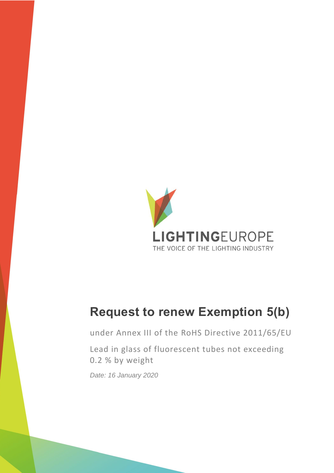

# **Request to renew Exemption 5(b)**

under Annex III of the RoHS Directive 2011/65/EU

Lead in glass of fluorescent tubes not exceeding 0.2 % by weight

*Date: 16 January 2020*

Signify Classified - Internal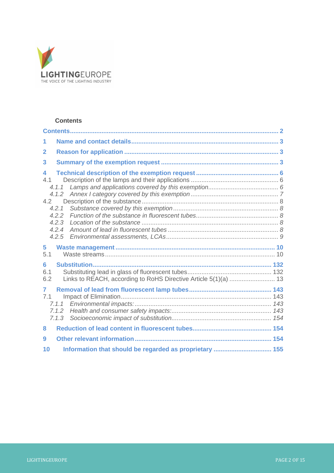

### <span id="page-1-0"></span>**Contents**

| $\overline{2}$      |                                                                 |  |
|---------------------|-----------------------------------------------------------------|--|
| 3                   |                                                                 |  |
| 4<br>4.1<br>4.2     | 4.1.1<br>4.2.1<br>4.2.2<br>4.2.3<br>4.2.4<br>4.2.5              |  |
|                     |                                                                 |  |
| 5<br>5.1            |                                                                 |  |
| 6<br>6.1<br>6.2     | Links to REACH, according to RoHS Directive Article 5(1)(a)  13 |  |
| $\mathbf{7}$<br>7.1 | 7.1.1<br>7.1.2<br>7.1.3                                         |  |
| 8                   |                                                                 |  |
| 9                   |                                                                 |  |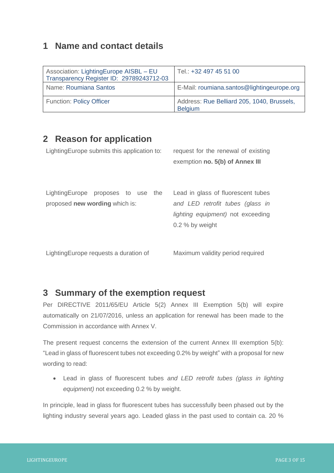### <span id="page-2-0"></span>**1 Name and contact details**

| Association: LightingEurope AISBL - EU<br>Transparency Register ID: 29789243712-03 | Tel.: +32 497 45 51 00                                       |
|------------------------------------------------------------------------------------|--------------------------------------------------------------|
| Name: Roumiana Santos                                                              | E-Mail: roumiana.santos@lightingeurope.org                   |
| <b>Function: Policy Officer</b>                                                    | Address: Rue Belliard 205, 1040, Brussels,<br><b>Belgium</b> |

### <span id="page-2-1"></span>**2 Reason for application**

| Lighting Europe submits this application to:                         | request for the renewal of existing<br>exemption no. 5(b) of Annex III                                                                   |  |
|----------------------------------------------------------------------|------------------------------------------------------------------------------------------------------------------------------------------|--|
| LightingEurope proposes to use the<br>proposed new wording which is: | Lead in glass of fluorescent tubes<br>and LED retrofit tubes (glass in<br><i>lighting equipment</i> ) not exceeding<br>$0.2$ % by weight |  |
| Lighting Europe requests a duration of                               | Maximum validity period required                                                                                                         |  |

# <span id="page-2-2"></span>**3 Summary of the exemption request**

Per DIRECTIVE 2011/65/EU Article 5(2) Annex III Exemption 5(b) will expire automatically on 21/07/2016, unless an application for renewal has been made to the Commission in accordance with Annex V.

The present request concerns the extension of the current Annex III exemption 5(b): "Lead in glass of fluorescent tubes not exceeding 0.2% by weight" with a proposal for new wording to read:

• Lead in glass of fluorescent tubes *and LED retrofit tubes (glass in lighting equipment)* not exceeding 0.2 % by weight.

In principle, lead in glass for fluorescent tubes has successfully been phased out by the lighting industry several years ago. Leaded glass in the past used to contain ca. 20 %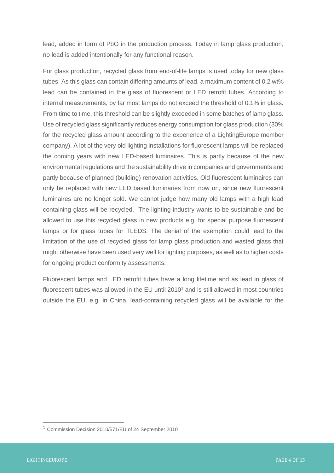lead, added in form of PbO in the production process. Today in lamp glass production, no lead is added intentionally for any functional reason.

For glass production, recycled glass from end-of-life lamps is used today for new glass tubes. As this glass can contain differing amounts of lead, a maximum content of 0.2 wt% lead can be contained in the glass of fluorescent or LED retrofit tubes. According to internal measurements, by far most lamps do not exceed the threshold of 0.1% in glass. From time to time, this threshold can be slightly exceeded in some batches of lamp glass. Use of recycled glass significantly reduces energy consumption for glass production (30% for the recycled glass amount according to the experience of a LightingEurope member company). A lot of the very old lighting installations for fluorescent lamps will be replaced the coming years with new LED-based luminaires. This is partly because of the new environmental regulations and the sustainability drive in companies and governments and partly because of planned (building) renovation activities. Old fluorescent luminaires can only be replaced with new LED based luminaries from now on, since new fluorescent luminaires are no longer sold. We cannot judge how many old lamps with a high lead containing glass will be recycled. The lighting industry wants to be sustainable and be allowed to use this recycled glass in new products e.g. for special purpose fluorescent lamps or for glass tubes for TLEDS. The denial of the exemption could lead to the limitation of the use of recycled glass for lamp glass production and wasted glass that might otherwise have been used very well for lighting purposes, as well as to higher costs for ongoing product conformity assessments.

Fluorescent lamps and LED retrofit tubes have a long lifetime and as lead in glass of fluorescent tubes was allowed in the EU until  $2010<sup>1</sup>$  and is still allowed in most countries outside the EU, e.g. in China, lead-containing recycled glass will be available for the

<sup>1</sup> Commission Decision 2010/571/EU of 24 September 2010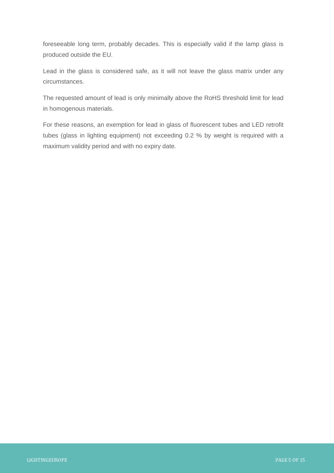foreseeable long term, probably decades. This is especially valid if the lamp glass is produced outside the EU.

Lead in the glass is considered safe, as it will not leave the glass matrix under any circumstances.

The requested amount of lead is only minimally above the RoHS threshold limit for lead in homogenous materials.

For these reasons, an exemption for lead in glass of fluorescent tubes and LED retrofit tubes (glass in lighting equipment) not exceeding 0.2 % by weight is required with a maximum validity period and with no expiry date.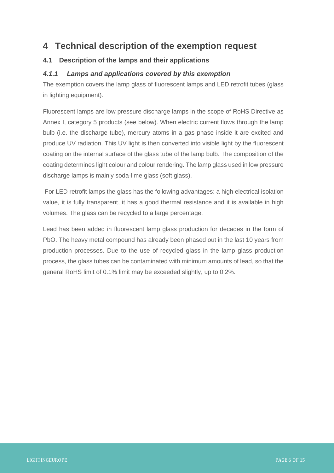### <span id="page-5-0"></span>**4 Technical description of the exemption request**

### <span id="page-5-1"></span>**4.1 Description of the lamps and their applications**

### <span id="page-5-2"></span>*4.1.1 Lamps and applications covered by this exemption*

The exemption covers the lamp glass of fluorescent lamps and LED retrofit tubes (glass in lighting equipment).

Fluorescent lamps are low pressure discharge lamps in the scope of RoHS Directive as Annex I, category 5 products (see below). When electric current flows through the lamp bulb (i.e. the discharge tube), mercury atoms in a gas phase inside it are excited and produce UV radiation. This UV light is then converted into visible light by the fluorescent coating on the internal surface of the glass tube of the lamp bulb. The composition of the coating determines light colour and colour rendering. The lamp glass used in low pressure discharge lamps is mainly soda-lime glass (soft glass).

For LED retrofit lamps the glass has the following advantages: a high electrical isolation value, it is fully transparent, it has a good thermal resistance and it is available in high volumes. The glass can be recycled to a large percentage.

Lead has been added in fluorescent lamp glass production for decades in the form of PbO. The heavy metal compound has already been phased out in the last 10 years from production processes. Due to the use of recycled glass in the lamp glass production process, the glass tubes can be contaminated with minimum amounts of lead, so that the general RoHS limit of 0.1% limit may be exceeded slightly, up to 0.2%.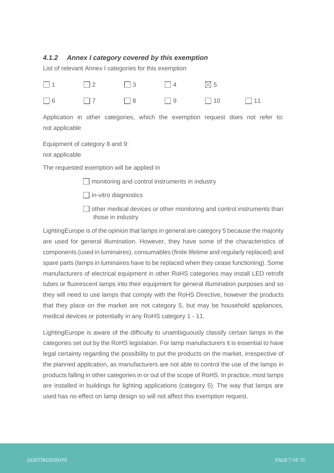### <span id="page-6-0"></span>*4.1.2 Annex I category covered by this exemption*

List of relevant Annex I categories for this exemption

|  | $\Box$ 1 $\Box$ 2 $\Box$ 3 $\Box$ 4 $\boxtimes$ 5 |                                                         |  |
|--|---------------------------------------------------|---------------------------------------------------------|--|
|  |                                                   | $\Box$ 6 $\Box$ 7 $\Box$ 8 $\Box$ 9 $\Box$ 10 $\Box$ 11 |  |

Application in other categories, which the exemption request does not refer to: not applicable

Equipment of category 8 and 9:

not applicable

The requested exemption will be applied in

 $\Box$  monitoring and control instruments in industry

 $\Box$  in-vitro diagnostics

 $\Box$  other medical devices or other monitoring and control instruments than those in industry

LightingEurope is of the opinion that lamps in general are category 5 because the majority are used for general illumination. However, they have some of the characteristics of components (used in luminaires), consumables (finite lifetime and regularly replaced) and spare parts (lamps in luminaires have to be replaced when they cease functioning). Some manufacturers of electrical equipment in other RoHS categories may install LED retrofit tubes or fluorescent lamps into their equipment for general illumination purposes and so they will need to use lamps that comply with the RoHS Directive, however the products that they place on the market are not category 5, but may be household appliances, medical devices or potentially in any RoHS category 1 - 11.

LightingEurope is aware of the difficulty to unambiguously classify certain lamps in the categories set out by the RoHS legislation. For lamp manufacturers it is essential to have legal certainty regarding the possibility to put the products on the market, irrespective of the planned application, as manufacturers are not able to control the use of the lamps in products falling in other categories in or out of the scope of RoHS. In practice, most lamps are installed in buildings for lighting applications (category 5). The way that lamps are used has no effect on lamp design so will not affect this exemption request.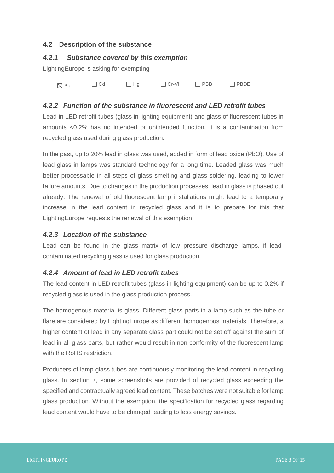### <span id="page-7-0"></span>**4.2 Description of the substance**

#### <span id="page-7-1"></span>*4.2.1 Substance covered by this exemption*

LightingEurope is asking for exempting

 $_{\text{Pb}}$   $\Box$  Cd  $\Box$  Hg  $\Box$  Cr-VI  $\Box$  PBB  $\Box$  PBDE

### <span id="page-7-2"></span>*4.2.2 Function of the substance in fluorescent and LED retrofit tubes*

Lead in LED retrofit tubes (glass in lighting equipment) and glass of fluorescent tubes in amounts <0.2% has no intended or unintended function. It is a contamination from recycled glass used during glass production.

In the past, up to 20% lead in glass was used, added in form of lead oxide (PbO). Use of lead glass in lamps was standard technology for a long time. Leaded glass was much better processable in all steps of glass smelting and glass soldering, leading to lower failure amounts. Due to changes in the production processes, lead in glass is phased out already. The renewal of old fluorescent lamp installations might lead to a temporary increase in the lead content in recycled glass and it is to prepare for this that LightingEurope requests the renewal of this exemption.

#### <span id="page-7-3"></span>*4.2.3 Location of the substance*

Lead can be found in the glass matrix of low pressure discharge lamps, if leadcontaminated recycling glass is used for glass production.

### <span id="page-7-4"></span>*4.2.4 Amount of lead in LED retrofit tubes*

The lead content in LED retrofit tubes (glass in lighting equipment) can be up to 0.2% if recycled glass is used in the glass production process.

The homogenous material is glass. Different glass parts in a lamp such as the tube or flare are considered by LightingEurope as different homogenous materials. Therefore, a higher content of lead in any separate glass part could not be set off against the sum of lead in all glass parts, but rather would result in non-conformity of the fluorescent lamp with the RoHS restriction.

Producers of lamp glass tubes are continuously monitoring the lead content in recycling glass. In section 7, some screenshots are provided of recycled glass exceeding the specified and contractually agreed lead content. These batches were not suitable for lamp glass production. Without the exemption, the specification for recycled glass regarding lead content would have to be changed leading to less energy savings.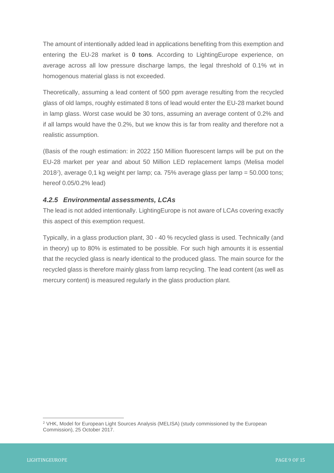The amount of intentionally added lead in applications benefiting from this exemption and entering the EU-28 market is **0 tons**. According to LightingEurope experience, on average across all low pressure discharge lamps, the legal threshold of 0.1% wt in homogenous material glass is not exceeded.

Theoretically, assuming a lead content of 500 ppm average resulting from the recycled glass of old lamps, roughly estimated 8 tons of lead would enter the EU-28 market bound in lamp glass. Worst case would be 30 tons, assuming an average content of 0.2% and if all lamps would have the 0.2%, but we know this is far from reality and therefore not a realistic assumption.

(Basis of the rough estimation: in 2022 150 Million fluorescent lamps will be put on the EU-28 market per year and about 50 Million LED replacement lamps (Melisa model 2018*<sup>2</sup>* ), average 0,1 kg weight per lamp; ca. 75% average glass per lamp = 50.000 tons; hereof 0.05/0.2% lead)

### <span id="page-8-0"></span>*4.2.5 Environmental assessments, LCAs*

The lead is not added intentionally. LightingEurope is not aware of LCAs covering exactly this aspect of this exemption request.

Typically, in a glass production plant, 30 - 40 % recycled glass is used. Technically (and in theory) up to 80% is estimated to be possible. For such high amounts it is essential that the recycled glass is nearly identical to the produced glass. The main source for the recycled glass is therefore mainly glass from lamp recycling. The lead content (as well as mercury content) is measured regularly in the glass production plant.

<sup>&</sup>lt;sup>2</sup> VHK, Model for European Light Sources Analysis (MELISA) (study commissioned by the European Commission), 25 October 2017.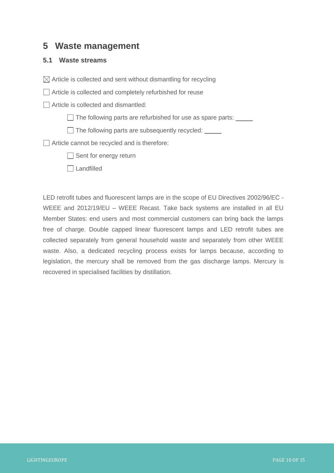### <span id="page-9-0"></span>**5 Waste management**

### <span id="page-9-1"></span>**5.1 Waste streams**

 $\boxtimes$  Article is collected and sent without dismantling for recycling

□ Article is collected and completely refurbished for reuse

Article is collected and dismantled:

 $\Box$  The following parts are refurbished for use as spare parts:  $\Box$ 

The following parts are subsequently recycled: \_\_\_\_\_

Article cannot be recycled and is therefore:

 $\Box$  Sent for energy return

□ Landfilled

LED retrofit tubes and fluorescent lamps are in the scope of EU Directives 2002/96/EC - WEEE and 2012/19/EU – WEEE Recast. Take back systems are installed in all EU Member States: end users and most commercial customers can bring back the lamps free of charge. Double capped linear fluorescent lamps and LED retrofit tubes are collected separately from general household waste and separately from other WEEE waste. Also, a dedicated recycling process exists for lamps because, according to legislation, the mercury shall be removed from the gas discharge lamps. Mercury is recovered in specialised facilities by distillation.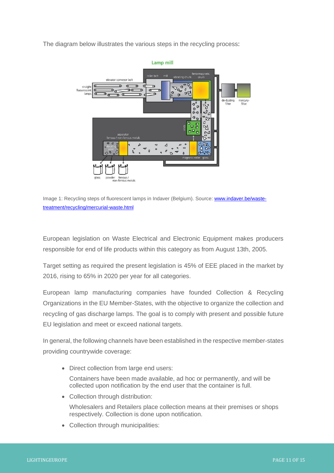The diagram below illustrates the various steps in the recycling process:



Image 1: Recycling steps of fluorescent lamps in Indaver (Belgium). Source[: www.indaver.be/waste](http://www.indaver.be/waste-treatment/recycling/mercurial-waste.html)[treatment/recycling/mercurial-waste.html](http://www.indaver.be/waste-treatment/recycling/mercurial-waste.html)

European legislation on Waste Electrical and Electronic Equipment makes producers responsible for end of life products within this category as from August 13th, 2005.

Target setting as required the present legislation is 45% of EEE placed in the market by 2016, rising to 65% in 2020 per year for all categories.

European lamp manufacturing companies have founded Collection & Recycling Organizations in the EU Member-States, with the objective to organize the collection and recycling of gas discharge lamps. The goal is to comply with present and possible future EU legislation and meet or exceed national targets.

In general, the following channels have been established in the respective member-states providing countrywide coverage:

• Direct collection from large end users:

Containers have been made available, ad hoc or permanently, and will be collected upon notification by the end user that the container is full.

• Collection through distribution:

Wholesalers and Retailers place collection means at their premises or shops respectively. Collection is done upon notification.

• Collection through municipalities: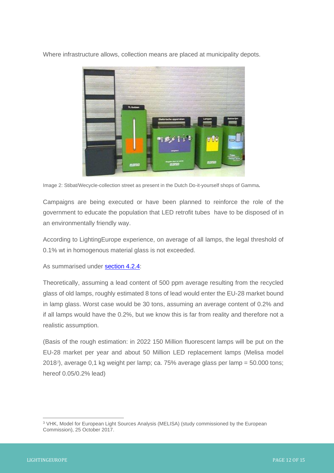Where infrastructure allows, collection means are placed at municipality depots.



Image 2: Stibat/Wecycle-collection street as present in the Dutch Do-it-yourself shops of Gamma*.*

Campaigns are being executed or have been planned to reinforce the role of the government to educate the population that LED retrofit tubes have to be disposed of in an environmentally friendly way.

According to LightingEurope experience, on average of all lamps, the legal threshold of 0.1% wt in homogenous material glass is not exceeded.

As summarised under **section 4.2.4**:

Theoretically, assuming a lead content of 500 ppm average resulting from the recycled glass of old lamps, roughly estimated 8 tons of lead would enter the EU-28 market bound in lamp glass. Worst case would be 30 tons, assuming an average content of 0.2% and if all lamps would have the 0.2%, but we know this is far from reality and therefore not a realistic assumption.

(Basis of the rough estimation: in 2022 150 Million fluorescent lamps will be put on the EU-28 market per year and about 50 Million LED replacement lamps (Melisa model 2018*<sup>3</sup>* ), average 0,1 kg weight per lamp; ca. 75% average glass per lamp = 50.000 tons; hereof 0.05/0.2% lead)

<sup>&</sup>lt;sup>3</sup> VHK, Model for European Light Sources Analysis (MELISA) (study commissioned by the European Commission), 25 October 2017.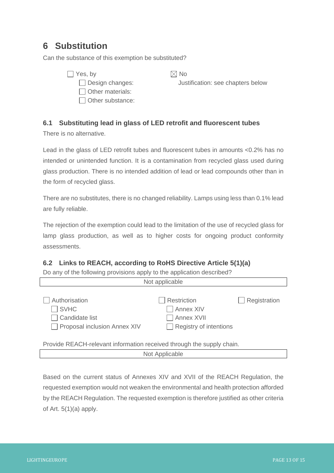## <span id="page-12-0"></span>**6 Substitution**

Can the substance of this exemption be substituted?

| Yes, by                 |
|-------------------------|
| $\Box$ Design changes:  |
| Other materials:        |
| $\Box$ Other substance: |

 $\boxtimes$  No

Justification: see chapters below

### <span id="page-12-1"></span>**6.1 Substituting lead in glass of LED retrofit and fluorescent tubes**

There is no alternative.

Lead in the glass of LED retrofit tubes and fluorescent tubes in amounts <0.2% has no intended or unintended function. It is a contamination from recycled glass used during glass production. There is no intended addition of lead or lead compounds other than in the form of recycled glass.

There are no substitutes, there is no changed reliability. Lamps using less than 0.1% lead are fully reliable.

The rejection of the exemption could lead to the limitation of the use of recycled glass for lamp glass production, as well as to higher costs for ongoing product conformity assessments.

### <span id="page-12-2"></span>**6.2 Links to REACH, according to RoHS Directive Article 5(1)(a)**

Do any of the following provisions apply to the application described?

| Not applicable                                                                      |                                                                                |              |  |  |
|-------------------------------------------------------------------------------------|--------------------------------------------------------------------------------|--------------|--|--|
| Authorisation<br>$\sqsupset$ SVHC<br>Candidate list<br>Proposal inclusion Annex XIV | <b>Restriction</b><br>Annex XIV<br>Annex XVII<br>$\Box$ Registry of intentions | Registration |  |  |
| Provide REACH-relevant information received through the supply chain.               |                                                                                |              |  |  |
| Not Applicable                                                                      |                                                                                |              |  |  |

Based on the current status of Annexes XIV and XVII of the REACH Regulation, the requested exemption would not weaken the environmental and health protection afforded by the REACH Regulation. The requested exemption is therefore justified as other criteria

of Art.  $5(1)(a)$  apply.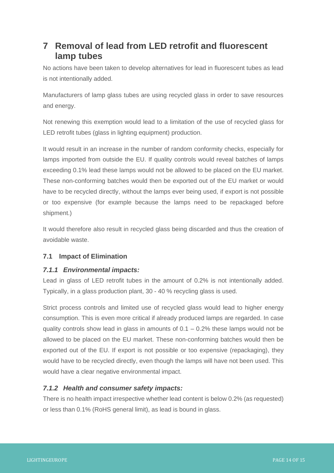# <span id="page-13-0"></span>**7 Removal of lead from LED retrofit and fluorescent lamp tubes**

No actions have been taken to develop alternatives for lead in fluorescent tubes as lead is not intentionally added.

Manufacturers of lamp glass tubes are using recycled glass in order to save resources and energy.

Not renewing this exemption would lead to a limitation of the use of recycled glass for LED retrofit tubes (glass in lighting equipment) production.

It would result in an increase in the number of random conformity checks, especially for lamps imported from outside the EU. If quality controls would reveal batches of lamps exceeding 0.1% lead these lamps would not be allowed to be placed on the EU market. These non-conforming batches would then be exported out of the EU market or would have to be recycled directly, without the lamps ever being used, if export is not possible or too expensive (for example because the lamps need to be repackaged before shipment.)

It would therefore also result in recycled glass being discarded and thus the creation of avoidable waste.

### <span id="page-13-1"></span>**7.1 Impact of Elimination**

### <span id="page-13-2"></span>*7.1.1 Environmental impacts:*

Lead in glass of LED retrofit tubes in the amount of 0.2% is not intentionally added. Typically, in a glass production plant, 30 - 40 % recycling glass is used.

Strict process controls and limited use of recycled glass would lead to higher energy consumption. This is even more critical if already produced lamps are regarded. In case quality controls show lead in glass in amounts of  $0.1 - 0.2\%$  these lamps would not be allowed to be placed on the EU market. These non-conforming batches would then be exported out of the EU. If export is not possible or too expensive (repackaging), they would have to be recycled directly, even though the lamps will have not been used. This would have a clear negative environmental impact.

### <span id="page-13-3"></span>*7.1.2 Health and consumer safety impacts:*

There is no health impact irrespective whether lead content is below 0.2% (as requested) or less than 0.1% (RoHS general limit), as lead is bound in glass.